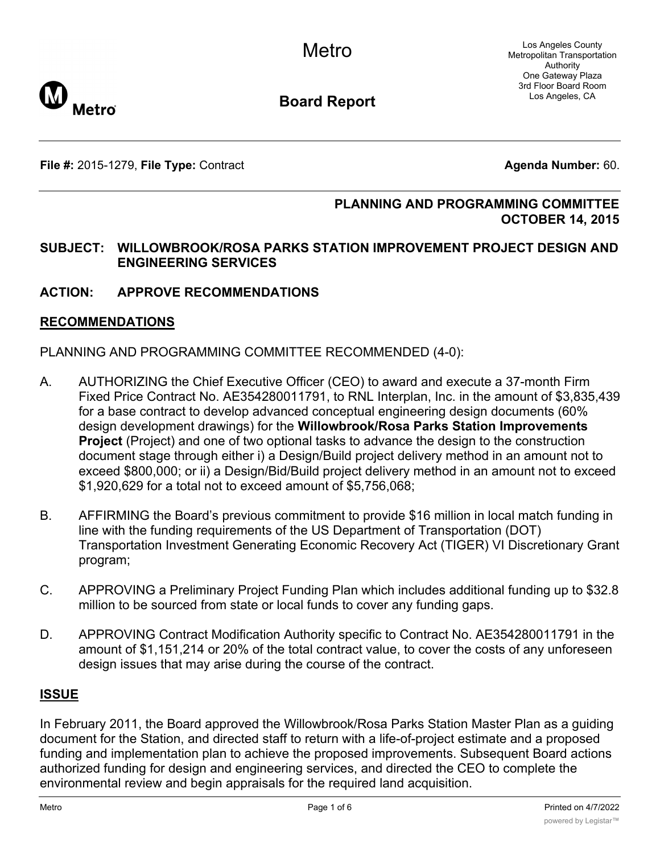Los Angeles County Metropolitan Transportation Authority One Gateway Plaza 3rd Floor Board Room Los Angeles, CA



**Board Report**

**File #:** 2015-1279, File Type: Contract **Agents Agenda Number:** 60.

# **PLANNING AND PROGRAMMING COMMITTEE OCTOBER 14, 2015**

# **SUBJECT: WILLOWBROOK/ROSA PARKS STATION IMPROVEMENT PROJECT DESIGN AND ENGINEERING SERVICES**

# **ACTION: APPROVE RECOMMENDATIONS**

# **RECOMMENDATIONS**

PLANNING AND PROGRAMMING COMMITTEE RECOMMENDED (4-0):

- A. AUTHORIZING the Chief Executive Officer (CEO) to award and execute a 37-month Firm Fixed Price Contract No. AE354280011791, to RNL Interplan, Inc. in the amount of \$3,835,439 for a base contract to develop advanced conceptual engineering design documents (60% design development drawings) for the **Willowbrook/Rosa Parks Station Improvements Project** (Project) and one of two optional tasks to advance the design to the construction document stage through either i) a Design/Build project delivery method in an amount not to exceed \$800,000; or ii) a Design/Bid/Build project delivery method in an amount not to exceed \$1,920,629 for a total not to exceed amount of \$5,756,068;
- B. AFFIRMING the Board's previous commitment to provide \$16 million in local match funding in line with the funding requirements of the US Department of Transportation (DOT) Transportation Investment Generating Economic Recovery Act (TIGER) VI Discretionary Grant program;
- C. APPROVING a Preliminary Project Funding Plan which includes additional funding up to \$32.8 million to be sourced from state or local funds to cover any funding gaps.
- D. APPROVING Contract Modification Authority specific to Contract No. AE354280011791 in the amount of \$1,151,214 or 20% of the total contract value, to cover the costs of any unforeseen design issues that may arise during the course of the contract.

# **ISSUE**

In February 2011, the Board approved the Willowbrook/Rosa Parks Station Master Plan as a guiding document for the Station, and directed staff to return with a life-of-project estimate and a proposed funding and implementation plan to achieve the proposed improvements. Subsequent Board actions authorized funding for design and engineering services, and directed the CEO to complete the environmental review and begin appraisals for the required land acquisition.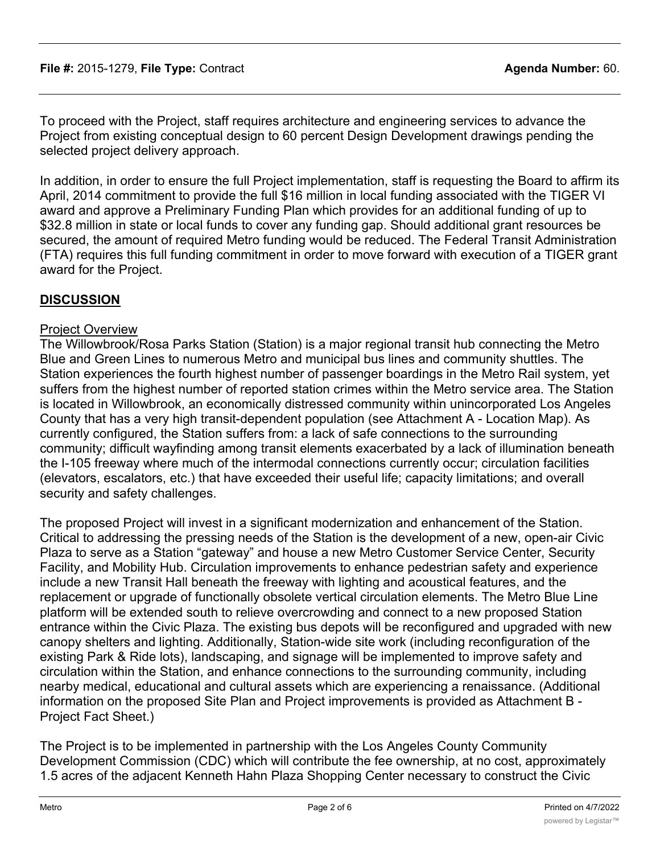To proceed with the Project, staff requires architecture and engineering services to advance the Project from existing conceptual design to 60 percent Design Development drawings pending the selected project delivery approach.

In addition, in order to ensure the full Project implementation, staff is requesting the Board to affirm its April, 2014 commitment to provide the full \$16 million in local funding associated with the TIGER VI award and approve a Preliminary Funding Plan which provides for an additional funding of up to \$32.8 million in state or local funds to cover any funding gap. Should additional grant resources be secured, the amount of required Metro funding would be reduced. The Federal Transit Administration (FTA) requires this full funding commitment in order to move forward with execution of a TIGER grant award for the Project.

# **DISCUSSION**

# Project Overview

The Willowbrook/Rosa Parks Station (Station) is a major regional transit hub connecting the Metro Blue and Green Lines to numerous Metro and municipal bus lines and community shuttles. The Station experiences the fourth highest number of passenger boardings in the Metro Rail system, yet suffers from the highest number of reported station crimes within the Metro service area. The Station is located in Willowbrook, an economically distressed community within unincorporated Los Angeles County that has a very high transit-dependent population (see Attachment A - Location Map). As currently configured, the Station suffers from: a lack of safe connections to the surrounding community; difficult wayfinding among transit elements exacerbated by a lack of illumination beneath the I-105 freeway where much of the intermodal connections currently occur; circulation facilities (elevators, escalators, etc.) that have exceeded their useful life; capacity limitations; and overall security and safety challenges.

The proposed Project will invest in a significant modernization and enhancement of the Station. Critical to addressing the pressing needs of the Station is the development of a new, open-air Civic Plaza to serve as a Station "gateway" and house a new Metro Customer Service Center, Security Facility, and Mobility Hub. Circulation improvements to enhance pedestrian safety and experience include a new Transit Hall beneath the freeway with lighting and acoustical features, and the replacement or upgrade of functionally obsolete vertical circulation elements. The Metro Blue Line platform will be extended south to relieve overcrowding and connect to a new proposed Station entrance within the Civic Plaza. The existing bus depots will be reconfigured and upgraded with new canopy shelters and lighting. Additionally, Station-wide site work (including reconfiguration of the existing Park & Ride lots), landscaping, and signage will be implemented to improve safety and circulation within the Station, and enhance connections to the surrounding community, including nearby medical, educational and cultural assets which are experiencing a renaissance. (Additional information on the proposed Site Plan and Project improvements is provided as Attachment B - Project Fact Sheet.)

The Project is to be implemented in partnership with the Los Angeles County Community Development Commission (CDC) which will contribute the fee ownership, at no cost, approximately 1.5 acres of the adjacent Kenneth Hahn Plaza Shopping Center necessary to construct the Civic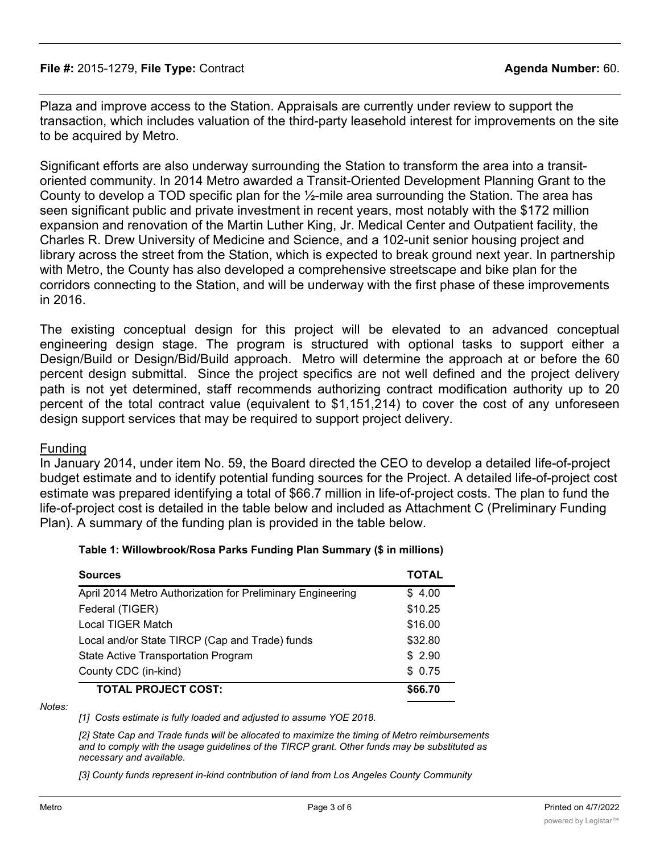#### **File #:** 2015-1279, **File Type:** Contract **Agenda Number:** 60.

Plaza and improve access to the Station. Appraisals are currently under review to support the transaction, which includes valuation of the third-party leasehold interest for improvements on the site to be acquired by Metro.

Significant efforts are also underway surrounding the Station to transform the area into a transitoriented community. In 2014 Metro awarded a Transit-Oriented Development Planning Grant to the County to develop a TOD specific plan for the ½-mile area surrounding the Station. The area has seen significant public and private investment in recent years, most notably with the \$172 million expansion and renovation of the Martin Luther King, Jr. Medical Center and Outpatient facility, the Charles R. Drew University of Medicine and Science, and a 102-unit senior housing project and library across the street from the Station, which is expected to break ground next year. In partnership with Metro, the County has also developed a comprehensive streetscape and bike plan for the corridors connecting to the Station, and will be underway with the first phase of these improvements in 2016.

The existing conceptual design for this project will be elevated to an advanced conceptual engineering design stage. The program is structured with optional tasks to support either a Design/Build or Design/Bid/Build approach. Metro will determine the approach at or before the 60 percent design submittal. Since the project specifics are not well defined and the project delivery path is not yet determined, staff recommends authorizing contract modification authority up to 20 percent of the total contract value (equivalent to \$1,151,214) to cover the cost of any unforeseen design support services that may be required to support project delivery.

#### Funding

In January 2014, under item No. 59, the Board directed the CEO to develop a detailed Iife-of-project budget estimate and to identify potential funding sources for the Project. A detailed life-of-project cost estimate was prepared identifying a total of \$66.7 million in life-of-project costs. The plan to fund the life-of-project cost is detailed in the table below and included as Attachment C (Preliminary Funding Plan). A summary of the funding plan is provided in the table below.

#### **Table 1: Willowbrook/Rosa Parks Funding Plan Summary (\$ in millions)**

| <b>Sources</b>                                             | TOTAL   |
|------------------------------------------------------------|---------|
| April 2014 Metro Authorization for Preliminary Engineering | \$4.00  |
| Federal (TIGER)                                            | \$10.25 |
| Local TIGER Match                                          | \$16.00 |
| Local and/or State TIRCP (Cap and Trade) funds             | \$32.80 |
| State Active Transportation Program                        | \$2.90  |
| County CDC (in-kind)                                       | \$0.75  |
| <b>TOTAL PROJECT COST:</b>                                 | \$66.70 |

#### *Notes:*

*[1] Costs estimate is fully loaded and adjusted to assume YOE 2018.*

*[2] State Cap and Trade funds will be allocated to maximize the timing of Metro reimbursements and to comply with the usage guidelines of the TIRCP grant. Other funds may be substituted as necessary and available.*

*[3] County funds represent in-kind contribution of land from Los Angeles County Community*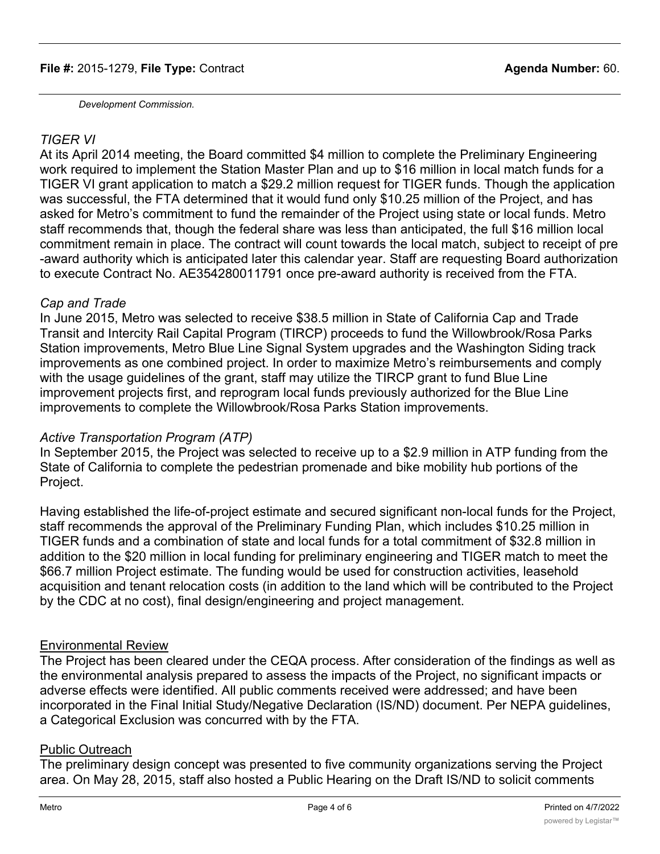### **File #:** 2015-1279, **File Type:** Contract **Agenda Number:** 60.

*Development Commission.*

# *TIGER VI*

At its April 2014 meeting, the Board committed \$4 million to complete the Preliminary Engineering work required to implement the Station Master Plan and up to \$16 million in local match funds for a TIGER VI grant application to match a \$29.2 million request for TIGER funds. Though the application was successful, the FTA determined that it would fund only \$10.25 million of the Project, and has asked for Metro's commitment to fund the remainder of the Project using state or local funds. Metro staff recommends that, though the federal share was less than anticipated, the full \$16 million local commitment remain in place. The contract will count towards the local match, subject to receipt of pre -award authority which is anticipated later this calendar year. Staff are requesting Board authorization to execute Contract No. AE354280011791 once pre-award authority is received from the FTA.

### *Cap and Trade*

In June 2015, Metro was selected to receive \$38.5 million in State of California Cap and Trade Transit and Intercity Rail Capital Program (TIRCP) proceeds to fund the Willowbrook/Rosa Parks Station improvements, Metro Blue Line Signal System upgrades and the Washington Siding track improvements as one combined project. In order to maximize Metro's reimbursements and comply with the usage guidelines of the grant, staff may utilize the TIRCP grant to fund Blue Line improvement projects first, and reprogram local funds previously authorized for the Blue Line improvements to complete the Willowbrook/Rosa Parks Station improvements.

# *Active Transportation Program (ATP)*

In September 2015, the Project was selected to receive up to a \$2.9 million in ATP funding from the State of California to complete the pedestrian promenade and bike mobility hub portions of the Project.

Having established the life-of-project estimate and secured significant non-local funds for the Project, staff recommends the approval of the Preliminary Funding Plan, which includes \$10.25 million in TIGER funds and a combination of state and local funds for a total commitment of \$32.8 million in addition to the \$20 million in local funding for preliminary engineering and TIGER match to meet the \$66.7 million Project estimate. The funding would be used for construction activities, leasehold acquisition and tenant relocation costs (in addition to the land which will be contributed to the Project by the CDC at no cost), final design/engineering and project management.

# Environmental Review

The Project has been cleared under the CEQA process. After consideration of the findings as well as the environmental analysis prepared to assess the impacts of the Project, no significant impacts or adverse effects were identified. All public comments received were addressed; and have been incorporated in the Final Initial Study/Negative Declaration (IS/ND) document. Per NEPA guidelines, a Categorical Exclusion was concurred with by the FTA.

# Public Outreach

The preliminary design concept was presented to five community organizations serving the Project area. On May 28, 2015, staff also hosted a Public Hearing on the Draft IS/ND to solicit comments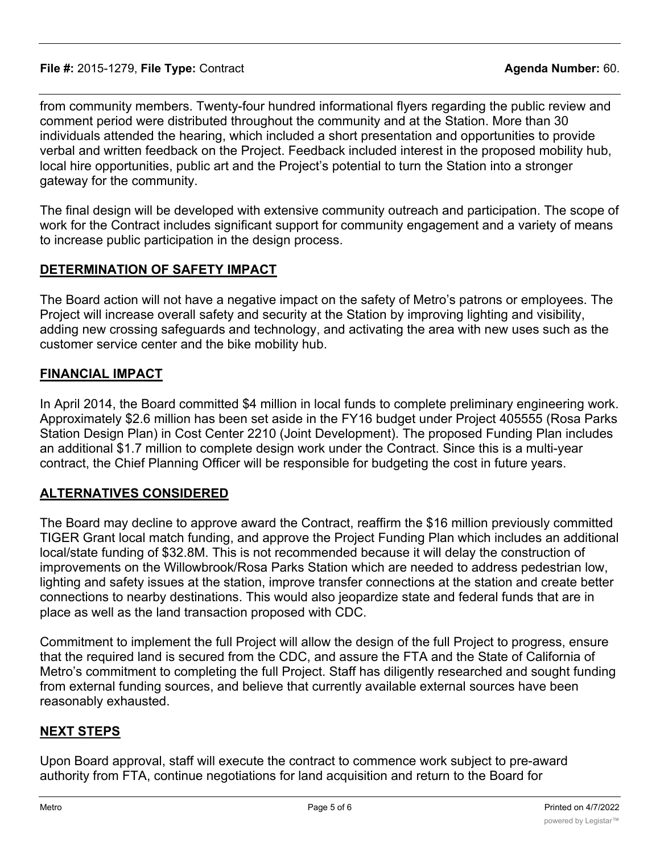from community members. Twenty-four hundred informational flyers regarding the public review and comment period were distributed throughout the community and at the Station. More than 30 individuals attended the hearing, which included a short presentation and opportunities to provide verbal and written feedback on the Project. Feedback included interest in the proposed mobility hub, local hire opportunities, public art and the Project's potential to turn the Station into a stronger gateway for the community.

The final design will be developed with extensive community outreach and participation. The scope of work for the Contract includes significant support for community engagement and a variety of means to increase public participation in the design process.

# **DETERMINATION OF SAFETY IMPACT**

The Board action will not have a negative impact on the safety of Metro's patrons or employees. The Project will increase overall safety and security at the Station by improving lighting and visibility, adding new crossing safeguards and technology, and activating the area with new uses such as the customer service center and the bike mobility hub.

# **FINANCIAL IMPACT**

In April 2014, the Board committed \$4 million in local funds to complete preliminary engineering work. Approximately \$2.6 million has been set aside in the FY16 budget under Project 405555 (Rosa Parks Station Design Plan) in Cost Center 2210 (Joint Development). The proposed Funding Plan includes an additional \$1.7 million to complete design work under the Contract. Since this is a multi-year contract, the Chief Planning Officer will be responsible for budgeting the cost in future years.

# **ALTERNATIVES CONSIDERED**

The Board may decline to approve award the Contract, reaffirm the \$16 million previously committed TIGER Grant local match funding, and approve the Project Funding Plan which includes an additional local/state funding of \$32.8M. This is not recommended because it will delay the construction of improvements on the Willowbrook/Rosa Parks Station which are needed to address pedestrian low, lighting and safety issues at the station, improve transfer connections at the station and create better connections to nearby destinations. This would also jeopardize state and federal funds that are in place as well as the land transaction proposed with CDC.

Commitment to implement the full Project will allow the design of the full Project to progress, ensure that the required land is secured from the CDC, and assure the FTA and the State of California of Metro's commitment to completing the full Project. Staff has diligently researched and sought funding from external funding sources, and believe that currently available external sources have been reasonably exhausted.

# **NEXT STEPS**

Upon Board approval, staff will execute the contract to commence work subject to pre-award authority from FTA, continue negotiations for land acquisition and return to the Board for